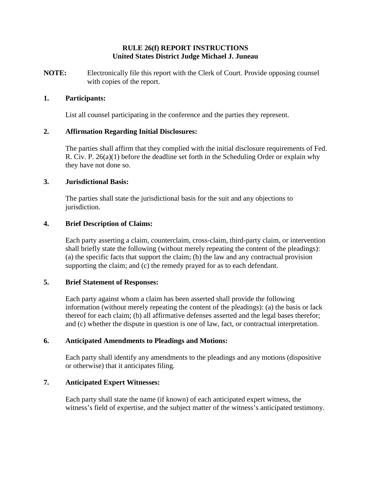### **RULE 26(f) REPORT INSTRUCTIONS United States District Judge Michael J. Juneau**

**NOTE:** Electronically file this report with the Clerk of Court. Provide opposing counsel with copies of the report.

#### **1. Participants:**

List all counsel participating in the conference and the parties they represent.

### **2. Affirmation Regarding Initial Disclosures:**

The parties shall affirm that they complied with the initial disclosure requirements of Fed. R. Civ. P. 26(a)(1) before the deadline set forth in the Scheduling Order or explain why they have not done so.

#### **3. Jurisdictional Basis:**

The parties shall state the jurisdictional basis for the suit and any objections to jurisdiction.

### **4. Brief Description of Claims:**

Each party asserting a claim, counterclaim, cross-claim, third-party claim, or intervention shall briefly state the following (without merely repeating the content of the pleadings): (a) the specific facts that support the claim; (b) the law and any contractual provision supporting the claim; and (c) the remedy prayed for as to each defendant.

### **5. Brief Statement of Responses:**

Each party against whom a claim has been asserted shall provide the following information (without merely repeating the content of the pleadings): (a) the basis or lack thereof for each claim; (b) all affirmative defenses asserted and the legal bases therefor; and (c) whether the dispute in question is one of law, fact, or contractual interpretation.

#### **6. Anticipated Amendments to Pleadings and Motions:**

Each party shall identify any amendments to the pleadings and any motions (dispositive or otherwise) that it anticipates filing.

### **7. Anticipated Expert Witnesses:**

Each party shall state the name (if known) of each anticipated expert witness, the witness's field of expertise, and the subject matter of the witness's anticipated testimony.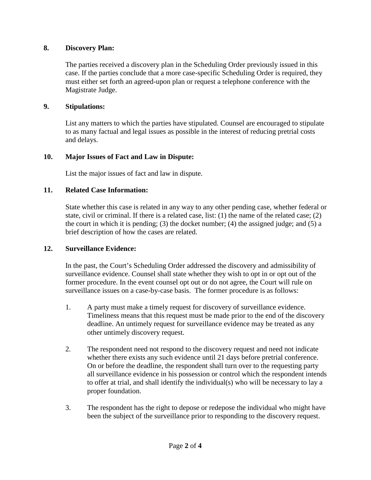## **8. Discovery Plan:**

The parties received a discovery plan in the Scheduling Order previously issued in this case. If the parties conclude that a more case-specific Scheduling Order is required, they must either set forth an agreed-upon plan or request a telephone conference with the Magistrate Judge.

## **9. Stipulations:**

List any matters to which the parties have stipulated. Counsel are encouraged to stipulate to as many factual and legal issues as possible in the interest of reducing pretrial costs and delays.

# **10. Major Issues of Fact and Law in Dispute:**

List the major issues of fact and law in dispute.

# **11. Related Case Information:**

State whether this case is related in any way to any other pending case, whether federal or state, civil or criminal. If there is a related case, list: (1) the name of the related case; (2) the court in which it is pending; (3) the docket number; (4) the assigned judge; and (5) a brief description of how the cases are related.

### **12. Surveillance Evidence:**

In the past, the Court's Scheduling Order addressed the discovery and admissibility of surveillance evidence. Counsel shall state whether they wish to opt in or opt out of the former procedure. In the event counsel opt out or do not agree, the Court will rule on surveillance issues on a case-by-case basis. The former procedure is as follows:

- 1. A party must make a timely request for discovery of surveillance evidence. Timeliness means that this request must be made prior to the end of the discovery deadline. An untimely request for surveillance evidence may be treated as any other untimely discovery request.
- 2. The respondent need not respond to the discovery request and need not indicate whether there exists any such evidence until 21 days before pretrial conference. On or before the deadline, the respondent shall turn over to the requesting party all surveillance evidence in his possession or control which the respondent intends to offer at trial, and shall identify the individual(s) who will be necessary to lay a proper foundation.
- 3. The respondent has the right to depose or redepose the individual who might have been the subject of the surveillance prior to responding to the discovery request.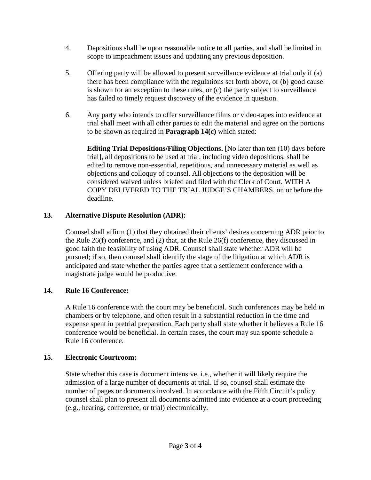- 4. Depositions shall be upon reasonable notice to all parties, and shall be limited in scope to impeachment issues and updating any previous deposition.
- 5. Offering party will be allowed to present surveillance evidence at trial only if (a) there has been compliance with the regulations set forth above, or (b) good cause is shown for an exception to these rules, or (c) the party subject to surveillance has failed to timely request discovery of the evidence in question.
- 6. Any party who intends to offer surveillance films or video-tapes into evidence at trial shall meet with all other parties to edit the material and agree on the portions to be shown as required in **Paragraph 14(c)** which stated:

**Editing Trial Depositions/Filing Objections.** [No later than ten (10) days before trial], all depositions to be used at trial, including video depositions, shall be edited to remove non-essential, repetitious, and unnecessary material as well as objections and colloquy of counsel. All objections to the deposition will be considered waived unless briefed and filed with the Clerk of Court, WITH A COPY DELIVERED TO THE TRIAL JUDGE'S CHAMBERS, on or before the deadline.

# **13. Alternative Dispute Resolution (ADR):**

Counsel shall affirm (1) that they obtained their clients' desires concerning ADR prior to the Rule 26(f) conference, and (2) that, at the Rule 26(f) conference, they discussed in good faith the feasibility of using ADR. Counsel shall state whether ADR will be pursued; if so, then counsel shall identify the stage of the litigation at which ADR is anticipated and state whether the parties agree that a settlement conference with a magistrate judge would be productive.

# **14. Rule 16 Conference:**

A Rule 16 conference with the court may be beneficial. Such conferences may be held in chambers or by telephone, and often result in a substantial reduction in the time and expense spent in pretrial preparation. Each party shall state whether it believes a Rule 16 conference would be beneficial. In certain cases, the court may sua sponte schedule a Rule 16 conference.

# **15. Electronic Courtroom:**

State whether this case is document intensive, i.e., whether it will likely require the admission of a large number of documents at trial. If so, counsel shall estimate the number of pages or documents involved. In accordance with the Fifth Circuit's policy, counsel shall plan to present all documents admitted into evidence at a court proceeding (e.g., hearing, conference, or trial) electronically.